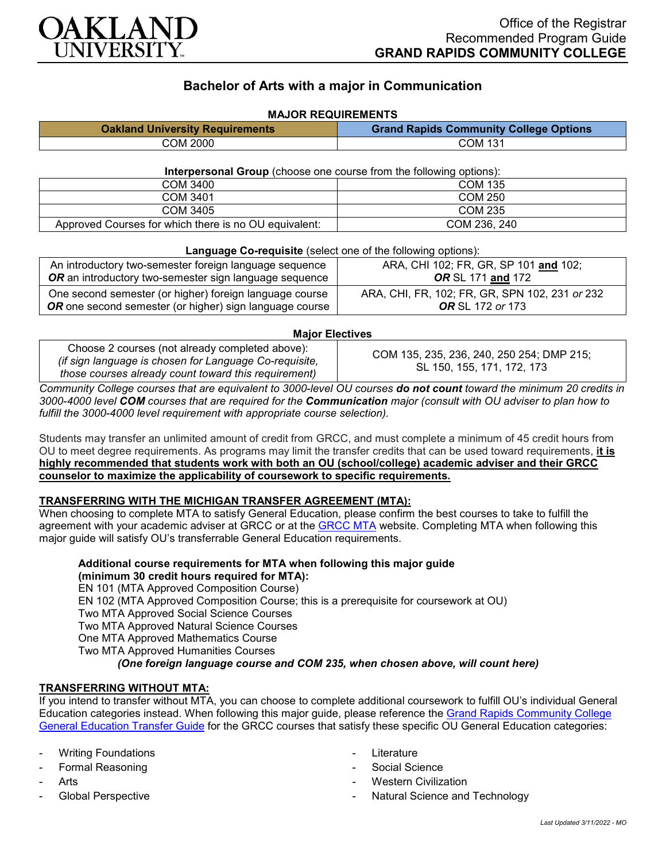

# **Bachelor of Arts with a major in Communication**

# **MAJOR REQUIREMENTS Oakland University Requirements Grand Rapids Community College Options** COM 2000 COM 131

#### **Interpersonal Group** (choose one course from the following options):

| COM 3400                                              | COM 135        |
|-------------------------------------------------------|----------------|
| COM 3401                                              | <b>COM 250</b> |
| COM 3405                                              | <b>COM 235</b> |
| Approved Courses for which there is no OU equivalent: | COM 236, 240   |

#### **Language Co-requisite** (select one of the following options):

| An introductory two-semester foreign language sequence         | ARA, CHI 102; FR, GR, SP 101 and 102;          |
|----------------------------------------------------------------|------------------------------------------------|
| <b>OR</b> an introductory two-semester sign language sequence  | <b>OR</b> SL 171 and 172                       |
| One second semester (or higher) foreign language course        | ARA, CHI, FR, 102; FR, GR, SPN 102, 231 or 232 |
| <b>OR</b> one second semester (or higher) sign language course | <b>OR</b> SL 172 or 173                        |

### **Major Electives**

Choose 2 courses (not already completed above): *(if sign language is chosen for Language Co-requisite, those courses already count toward this requirement)*

COM 135, 235, 236, 240, 250 254; DMP 215; SL 150, 155, 171, 172, 173

*Community College courses that are equivalent to 3000-level OU courses do not count toward the minimum 20 credits in 3000-4000 level COM courses that are required for the Communication major (consult with OU adviser to plan how to fulfill the 3000-4000 level requirement with appropriate course selection).*

Students may transfer an unlimited amount of credit from GRCC, and must complete a minimum of 45 credit hours from OU to meet degree requirements. As programs may limit the transfer credits that can be used toward requirements, **it is highly recommended that students work with both an OU (school/college) academic adviser and their GRCC counselor to maximize the applicability of coursework to specific requirements.**

## **TRANSFERRING WITH THE MICHIGAN TRANSFER AGREEMENT (MTA):**

When choosing to complete MTA to satisfy General Education, please confirm the best courses to take to fulfill the agreement with your academic adviser at GRCC or at the [GRCC MTA](https://catalog.grcc.edu/content.php?catoid=45&navoid=3401&hl=Michigan+Transfer+Agreement&returnto=search) website. Completing MTA when following this major guide will satisfy OU's transferrable General Education requirements.

**Additional course requirements for MTA when following this major guide (minimum 30 credit hours required for MTA):** EN 101 (MTA Approved Composition Course) EN 102 (MTA Approved Composition Course; this is a prerequisite for coursework at OU) Two MTA Approved Social Science Courses Two MTA Approved Natural Science Courses One MTA Approved Mathematics Course Two MTA Approved Humanities Courses

*(One foreign language course and COM 235, when chosen above, will count here)*

## **TRANSFERRING WITHOUT MTA:**

If you intend to transfer without MTA, you can choose to complete additional coursework to fulfill OU's individual General Education categories instead. When following this major guide, please reference the [Grand Rapids Community College](https://www.oakland.edu/Assets/Oakland/program-guides/grand-rapids-community-college/university-general-education-requirements/Grand%20Rapids%20Gen%20Ed.pdf)  [General Education Transfer Guide](https://www.oakland.edu/Assets/Oakland/program-guides/grand-rapids-community-college/university-general-education-requirements/Grand%20Rapids%20Gen%20Ed.pdf) for the GRCC courses that satisfy these specific OU General Education categories:

- **Writing Foundations**
- Formal Reasoning
- **Arts**
- Global Perspective
- **Literature**
- Social Science
- **Western Civilization**
- Natural Science and Technology